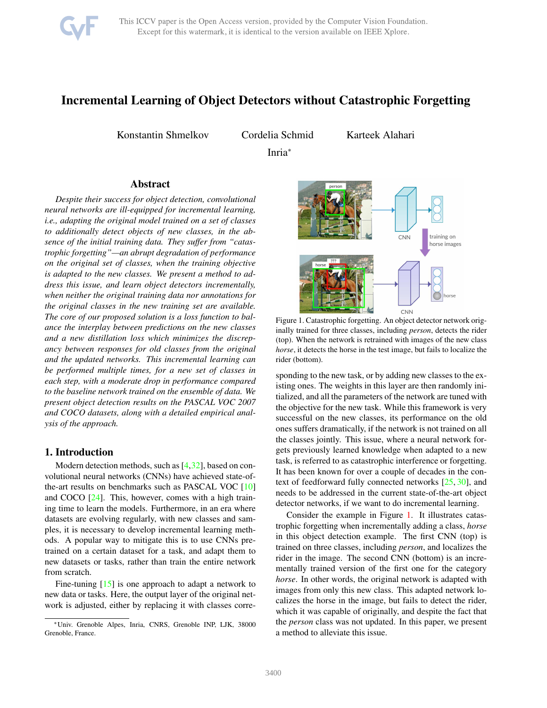

# Incremental Learning of Object Detectors without Catastrophic Forgetting

Konstantin Shmelkov Cordelia Schmid

Karteek Alahari

Inria<sup>∗</sup>

## Abstract

*Despite their success for object detection, convolutional neural networks are ill-equipped for incremental learning, i.e., adapting the original model trained on a set of classes to additionally detect objects of new classes, in the absence of the initial training data. They suffer from "catastrophic forgetting"—an abrupt degradation of performance on the original set of classes, when the training objective is adapted to the new classes. We present a method to address this issue, and learn object detectors incrementally, when neither the original training data nor annotations for the original classes in the new training set are available. The core of our proposed solution is a loss function to balance the interplay between predictions on the new classes and a new distillation loss which minimizes the discrepancy between responses for old classes from the original and the updated networks. This incremental learning can be performed multiple times, for a new set of classes in each step, with a moderate drop in performance compared to the baseline network trained on the ensemble of data. We present object detection results on the PASCAL VOC 2007 and COCO datasets, along with a detailed empirical analysis of the approach.*

# 1. Introduction

Modern detection methods, such as [\[4](#page-8-0)[,32\]](#page-8-1), based on convolutional neural networks (CNNs) have achieved state-ofthe-art results on benchmarks such as PASCAL VOC [\[10\]](#page-8-2) and COCO [\[24\]](#page-8-3). This, however, comes with a high training time to learn the models. Furthermore, in an era where datasets are evolving regularly, with new classes and samples, it is necessary to develop incremental learning methods. A popular way to mitigate this is to use CNNs pretrained on a certain dataset for a task, and adapt them to new datasets or tasks, rather than train the entire network from scratch.

Fine-tuning  $[15]$  is one approach to adapt a network to new data or tasks. Here, the output layer of the original network is adjusted, either by replacing it with classes corre-



<span id="page-0-0"></span>Figure 1. Catastrophic forgetting. An object detector network originally trained for three classes, including *person*, detects the rider (top). When the network is retrained with images of the new class *horse*, it detects the horse in the test image, but fails to localize the rider (bottom).

sponding to the new task, or by adding new classes to the existing ones. The weights in this layer are then randomly initialized, and all the parameters of the network are tuned with the objective for the new task. While this framework is very successful on the new classes, its performance on the old ones suffers dramatically, if the network is not trained on all the classes jointly. This issue, where a neural network forgets previously learned knowledge when adapted to a new task, is referred to as catastrophic interference or forgetting. It has been known for over a couple of decades in the context of feedforward fully connected networks [\[25,](#page-8-5) [30\]](#page-8-6), and needs to be addressed in the current state-of-the-art object detector networks, if we want to do incremental learning.

Consider the example in Figure [1.](#page-0-0) It illustrates catastrophic forgetting when incrementally adding a class, *horse* in this object detection example. The first CNN (top) is trained on three classes, including *person*, and localizes the rider in the image. The second CNN (bottom) is an incrementally trained version of the first one for the category *horse*. In other words, the original network is adapted with images from only this new class. This adapted network localizes the horse in the image, but fails to detect the rider, which it was capable of originally, and despite the fact that the *person* class was not updated. In this paper, we present a method to alleviate this issue.

<sup>∗</sup>Univ. Grenoble Alpes, Inria, CNRS, Grenoble INP, LJK, 38000 Grenoble, France.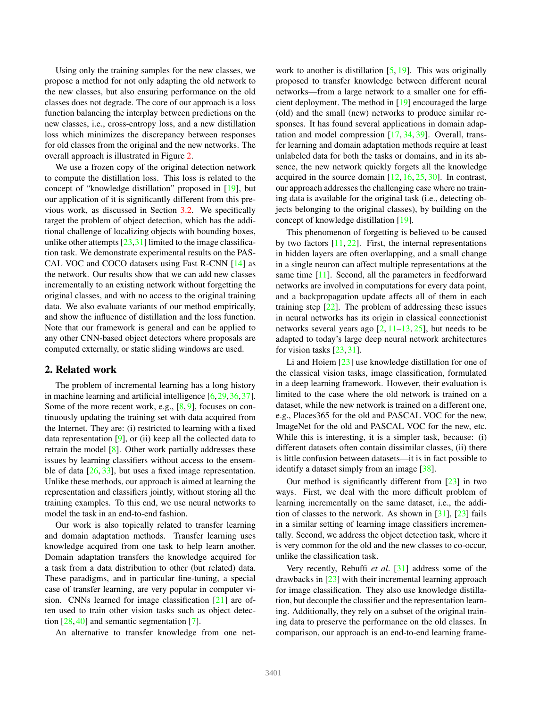Using only the training samples for the new classes, we propose a method for not only adapting the old network to the new classes, but also ensuring performance on the old classes does not degrade. The core of our approach is a loss function balancing the interplay between predictions on the new classes, i.e., cross-entropy loss, and a new distillation loss which minimizes the discrepancy between responses for old classes from the original and the new networks. The overall approach is illustrated in Figure [2.](#page-2-0)

We use a frozen copy of the original detection network to compute the distillation loss. This loss is related to the concept of "knowledge distillation" proposed in [\[19\]](#page-8-7), but our application of it is significantly different from this previous work, as discussed in Section [3.2.](#page-3-0) We specifically target the problem of object detection, which has the additional challenge of localizing objects with bounding boxes, unlike other attempts  $[23,31]$  $[23,31]$  limited to the image classification task. We demonstrate experimental results on the PAS-CAL VOC and COCO datasets using Fast R-CNN [\[14\]](#page-8-10) as the network. Our results show that we can add new classes incrementally to an existing network without forgetting the original classes, and with no access to the original training data. We also evaluate variants of our method empirically, and show the influence of distillation and the loss function. Note that our framework is general and can be applied to any other CNN-based object detectors where proposals are computed externally, or static sliding windows are used.

## 2. Related work

The problem of incremental learning has a long history in machine learning and artificial intelligence [\[6,](#page-8-11)[29,](#page-8-12)[36,](#page-8-13)[37\]](#page-8-14). Some of the more recent work, e.g.,  $[8, 9]$  $[8, 9]$  $[8, 9]$ , focuses on continuously updating the training set with data acquired from the Internet. They are: (i) restricted to learning with a fixed data representation [\[9\]](#page-8-16), or (ii) keep all the collected data to retrain the model [\[8\]](#page-8-15). Other work partially addresses these issues by learning classifiers without access to the ensemble of data  $[26, 33]$  $[26, 33]$ , but uses a fixed image representation. Unlike these methods, our approach is aimed at learning the representation and classifiers jointly, without storing all the training examples. To this end, we use neural networks to model the task in an end-to-end fashion.

Our work is also topically related to transfer learning and domain adaptation methods. Transfer learning uses knowledge acquired from one task to help learn another. Domain adaptation transfers the knowledge acquired for a task from a data distribution to other (but related) data. These paradigms, and in particular fine-tuning, a special case of transfer learning, are very popular in computer vision. CNNs learned for image classification [\[21\]](#page-8-19) are often used to train other vision tasks such as object detection [\[28,](#page-8-20) [40\]](#page-9-0) and semantic segmentation [\[7\]](#page-8-21).

An alternative to transfer knowledge from one net-

work to another is distillation  $[5, 19]$  $[5, 19]$ . This was originally proposed to transfer knowledge between different neural networks—from a large network to a smaller one for efficient deployment. The method in [\[19\]](#page-8-7) encouraged the large (old) and the small (new) networks to produce similar responses. It has found several applications in domain adaptation and model compression [\[17,](#page-8-23) [34,](#page-8-24) [39\]](#page-9-1). Overall, transfer learning and domain adaptation methods require at least unlabeled data for both the tasks or domains, and in its absence, the new network quickly forgets all the knowledge acquired in the source domain  $[12, 16, 25, 30]$  $[12, 16, 25, 30]$  $[12, 16, 25, 30]$  $[12, 16, 25, 30]$  $[12, 16, 25, 30]$  $[12, 16, 25, 30]$ . In contrast, our approach addresses the challenging case where no training data is available for the original task (i.e., detecting objects belonging to the original classes), by building on the concept of knowledge distillation [\[19\]](#page-8-7).

This phenomenon of forgetting is believed to be caused by two factors  $[11, 22]$  $[11, 22]$ . First, the internal representations in hidden layers are often overlapping, and a small change in a single neuron can affect multiple representations at the same time [\[11\]](#page-8-27). Second, all the parameters in feedforward networks are involved in computations for every data point, and a backpropagation update affects all of them in each training step [\[22\]](#page-8-28). The problem of addressing these issues in neural networks has its origin in classical connectionist networks several years ago  $[2, 11–13, 25]$  $[2, 11–13, 25]$  $[2, 11–13, 25]$  $[2, 11–13, 25]$  $[2, 11–13, 25]$ , but needs to be adapted to today's large deep neural network architectures for vision tasks [\[23,](#page-8-8) [31\]](#page-8-9).

Li and Hoiem [\[23\]](#page-8-8) use knowledge distillation for one of the classical vision tasks, image classification, formulated in a deep learning framework. However, their evaluation is limited to the case where the old network is trained on a dataset, while the new network is trained on a different one, e.g., Places365 for the old and PASCAL VOC for the new, ImageNet for the old and PASCAL VOC for the new, etc. While this is interesting, it is a simpler task, because: (i) different datasets often contain dissimilar classes, (ii) there is little confusion between datasets—it is in fact possible to identify a dataset simply from an image [\[38\]](#page-8-31).

Our method is significantly different from [\[23\]](#page-8-8) in two ways. First, we deal with the more difficult problem of learning incrementally on the same dataset, i.e., the addition of classes to the network. As shown in  $[31]$ ,  $[23]$  fails in a similar setting of learning image classifiers incrementally. Second, we address the object detection task, where it is very common for the old and the new classes to co-occur, unlike the classification task.

Very recently, Rebuffi *et al*. [\[31\]](#page-8-9) address some of the drawbacks in [\[23\]](#page-8-8) with their incremental learning approach for image classification. They also use knowledge distillation, but decouple the classifier and the representation learning. Additionally, they rely on a subset of the original training data to preserve the performance on the old classes. In comparison, our approach is an end-to-end learning frame-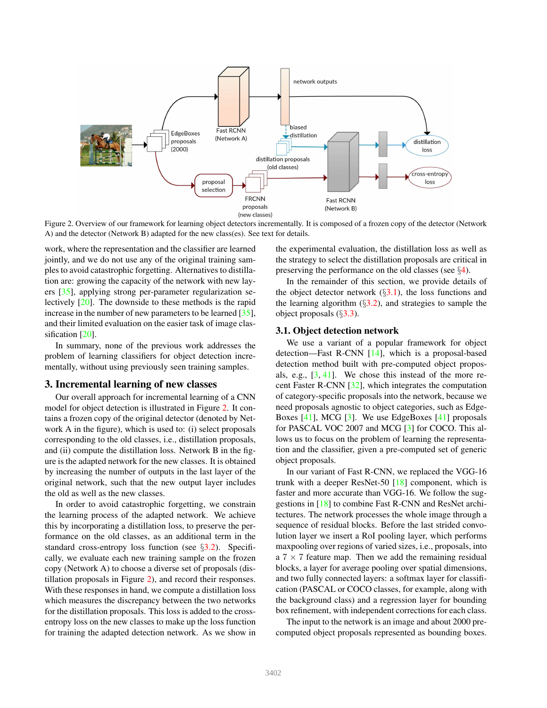

<span id="page-2-0"></span>Figure 2. Overview of our framework for learning object detectors incrementally. It is composed of a frozen copy of the detector (Network A) and the detector (Network B) adapted for the new class(es). See text for details.

work, where the representation and the classifier are learned jointly, and we do not use any of the original training samples to avoid catastrophic forgetting. Alternatives to distillation are: growing the capacity of the network with new layers [\[35\]](#page-8-32), applying strong per-parameter regularization selectively [\[20\]](#page-8-33). The downside to these methods is the rapid increase in the number of new parameters to be learned [\[35\]](#page-8-32), and their limited evaluation on the easier task of image clas-sification [\[20\]](#page-8-33).

In summary, none of the previous work addresses the problem of learning classifiers for object detection incrementally, without using previously seen training samples.

## 3. Incremental learning of new classes

Our overall approach for incremental learning of a CNN model for object detection is illustrated in Figure [2.](#page-2-0) It contains a frozen copy of the original detector (denoted by Network A in the figure), which is used to: (i) select proposals corresponding to the old classes, i.e., distillation proposals, and (ii) compute the distillation loss. Network B in the figure is the adapted network for the new classes. It is obtained by increasing the number of outputs in the last layer of the original network, such that the new output layer includes the old as well as the new classes.

In order to avoid catastrophic forgetting, we constrain the learning process of the adapted network. We achieve this by incorporating a distillation loss, to preserve the performance on the old classes, as an additional term in the standard cross-entropy loss function (see §[3.2\)](#page-3-0). Specifically, we evaluate each new training sample on the frozen copy (Network A) to choose a diverse set of proposals (distillation proposals in Figure [2\)](#page-2-0), and record their responses. With these responses in hand, we compute a distillation loss which measures the discrepancy between the two networks for the distillation proposals. This loss is added to the crossentropy loss on the new classes to make up the loss function for training the adapted detection network. As we show in the experimental evaluation, the distillation loss as well as the strategy to select the distillation proposals are critical in preserving the performance on the old classes (see §[4\)](#page-4-0).

In the remainder of this section, we provide details of the object detector network  $(\S3.1)$  $(\S3.1)$ , the loss functions and the learning algorithm  $(\S3.2)$  $(\S3.2)$ , and strategies to sample the object proposals (§[3.3\)](#page-3-1).

## <span id="page-2-1"></span>3.1. Object detection network

We use a variant of a popular framework for object detection—Fast R-CNN [\[14\]](#page-8-10), which is a proposal-based detection method built with pre-computed object proposals, e.g., [\[3,](#page-8-34) [41\]](#page-9-2). We chose this instead of the more recent Faster R-CNN [\[32\]](#page-8-1), which integrates the computation of category-specific proposals into the network, because we need proposals agnostic to object categories, such as Edge-Boxes [\[41\]](#page-9-2), MCG [\[3\]](#page-8-34). We use EdgeBoxes [\[41\]](#page-9-2) proposals for PASCAL VOC 2007 and MCG [\[3\]](#page-8-34) for COCO. This allows us to focus on the problem of learning the representation and the classifier, given a pre-computed set of generic object proposals.

In our variant of Fast R-CNN, we replaced the VGG-16 trunk with a deeper ResNet-50 [\[18\]](#page-8-35) component, which is faster and more accurate than VGG-16. We follow the suggestions in [\[18\]](#page-8-35) to combine Fast R-CNN and ResNet architectures. The network processes the whole image through a sequence of residual blocks. Before the last strided convolution layer we insert a RoI pooling layer, which performs maxpooling over regions of varied sizes, i.e., proposals, into a  $7 \times 7$  feature map. Then we add the remaining residual blocks, a layer for average pooling over spatial dimensions, and two fully connected layers: a softmax layer for classification (PASCAL or COCO classes, for example, along with the background class) and a regression layer for bounding box refinement, with independent corrections for each class.

The input to the network is an image and about 2000 precomputed object proposals represented as bounding boxes.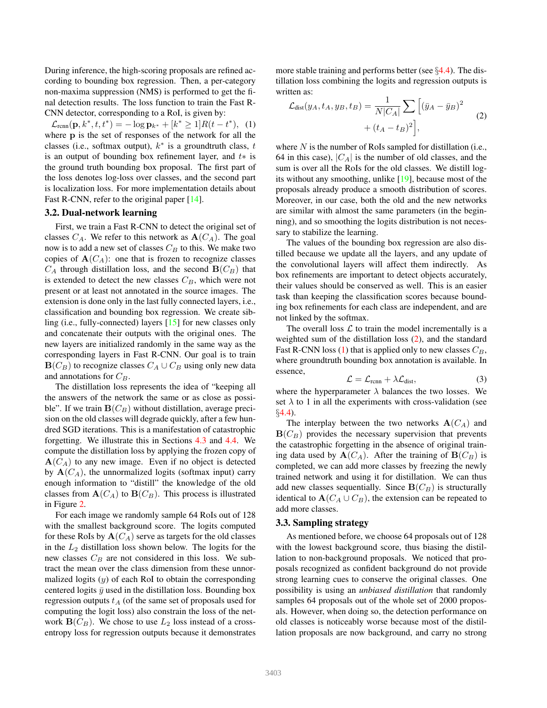During inference, the high-scoring proposals are refined according to bounding box regression. Then, a per-category non-maxima suppression (NMS) is performed to get the final detection results. The loss function to train the Fast R-CNN detector, corresponding to a RoI, is given by:

<span id="page-3-3"></span> $\mathcal{L}_{\text{rcnn}}(\mathbf{p}, k^*, t, t^*) = -\log \mathbf{p}_{k^*} + [k^* \geq 1]R(t - t^*),$  (1) where p is the set of responses of the network for all the classes (i.e., softmax output),  $k^*$  is a groundtruth class, t is an output of bounding box refinement layer, and  $t*$  is the ground truth bounding box proposal. The first part of the loss denotes log-loss over classes, and the second part is localization loss. For more implementation details about Fast R-CNN, refer to the original paper [\[14\]](#page-8-10).

#### <span id="page-3-0"></span>3.2. Dual-network learning

First, we train a Fast R-CNN to detect the original set of classes  $C_A$ . We refer to this network as  $\mathbf{A}(C_A)$ . The goal now is to add a new set of classes  $C_B$  to this. We make two copies of  $\mathbf{A}(C_A)$ : one that is frozen to recognize classes  $C_A$  through distillation loss, and the second  $\mathbf{B}(C_B)$  that is extended to detect the new classes  $C_B$ , which were not present or at least not annotated in the source images. The extension is done only in the last fully connected layers, i.e., classification and bounding box regression. We create sibling (i.e., fully-connected) layers [\[15\]](#page-8-4) for new classes only and concatenate their outputs with the original ones. The new layers are initialized randomly in the same way as the corresponding layers in Fast R-CNN. Our goal is to train  $\mathbf{B}(C_B)$  to recognize classes  $C_A \cup C_B$  using only new data and annotations for  $C_B$ .

The distillation loss represents the idea of "keeping all the answers of the network the same or as close as possible". If we train  $\mathbf{B}(C_B)$  without distillation, average precision on the old classes will degrade quickly, after a few hundred SGD iterations. This is a manifestation of catastrophic forgetting. We illustrate this in Sections [4.3](#page-4-1) and [4.4.](#page-5-0) We compute the distillation loss by applying the frozen copy of  $A(C_A)$  to any new image. Even if no object is detected by  $\mathbf{A}(C_A)$ , the unnormalized logits (softmax input) carry enough information to "distill" the knowledge of the old classes from  $\mathbf{A}(C_A)$  to  $\mathbf{B}(C_B)$ . This process is illustrated in Figure [2.](#page-2-0)

For each image we randomly sample 64 RoIs out of 128 with the smallest background score. The logits computed for these RoIs by  $\mathbf{A}(C_A)$  serve as targets for the old classes in the  $L_2$  distillation loss shown below. The logits for the new classes  $C_B$  are not considered in this loss. We subtract the mean over the class dimension from these unnormalized logits  $(y)$  of each RoI to obtain the corresponding centered logits  $\bar{y}$  used in the distillation loss. Bounding box regression outputs  $t_A$  (of the same set of proposals used for computing the logit loss) also constrain the loss of the network  $\mathbf{B}(C_B)$ . We chose to use  $L_2$  loss instead of a crossentropy loss for regression outputs because it demonstrates

more stable training and performs better (see §[4.4\)](#page-5-0). The distillation loss combining the logits and regression outputs is written as:

<span id="page-3-2"></span>
$$
\mathcal{L}_{\text{dist}}(y_A, t_A, y_B, t_B) = \frac{1}{N|C_A|} \sum \left[ (\bar{y}_A - \bar{y}_B)^2 + (t_A - t_B)^2 \right],\tag{2}
$$

where  $N$  is the number of RoIs sampled for distillation (i.e., 64 in this case),  $|C_A|$  is the number of old classes, and the sum is over all the RoIs for the old classes. We distill logits without any smoothing, unlike [\[19\]](#page-8-7), because most of the proposals already produce a smooth distribution of scores. Moreover, in our case, both the old and the new networks are similar with almost the same parameters (in the beginning), and so smoothing the logits distribution is not necessary to stabilize the learning.

The values of the bounding box regression are also distilled because we update all the layers, and any update of the convolutional layers will affect them indirectly. As box refinements are important to detect objects accurately, their values should be conserved as well. This is an easier task than keeping the classification scores because bounding box refinements for each class are independent, and are not linked by the softmax.

The overall loss  $\mathcal L$  to train the model incrementally is a weighted sum of the distillation loss [\(2\)](#page-3-2), and the standard Fast R-CNN loss [\(1\)](#page-3-3) that is applied only to new classes  $C_B$ , where groundtruth bounding box annotation is available. In essence,

<span id="page-3-4"></span>
$$
\mathcal{L} = \mathcal{L}_{\text{rcnn}} + \lambda \mathcal{L}_{\text{dist}},\tag{3}
$$

where the hyperparameter  $\lambda$  balances the two losses. We set  $\lambda$  to 1 in all the experiments with cross-validation (see §[4.4\)](#page-5-0).

The interplay between the two networks  $A(C_A)$  and  $B(C_B)$  provides the necessary supervision that prevents the catastrophic forgetting in the absence of original training data used by  $\mathbf{A}(C_A)$ . After the training of  $\mathbf{B}(C_B)$  is completed, we can add more classes by freezing the newly trained network and using it for distillation. We can thus add new classes sequentially. Since  $\mathbf{B}(C_B)$  is structurally identical to  $\mathbf{A}(C_A \cup C_B)$ , the extension can be repeated to add more classes.

#### <span id="page-3-1"></span>3.3. Sampling strategy

As mentioned before, we choose 64 proposals out of 128 with the lowest background score, thus biasing the distillation to non-background proposals. We noticed that proposals recognized as confident background do not provide strong learning cues to conserve the original classes. One possibility is using an *unbiased distillation* that randomly samples 64 proposals out of the whole set of 2000 proposals. However, when doing so, the detection performance on old classes is noticeably worse because most of the distillation proposals are now background, and carry no strong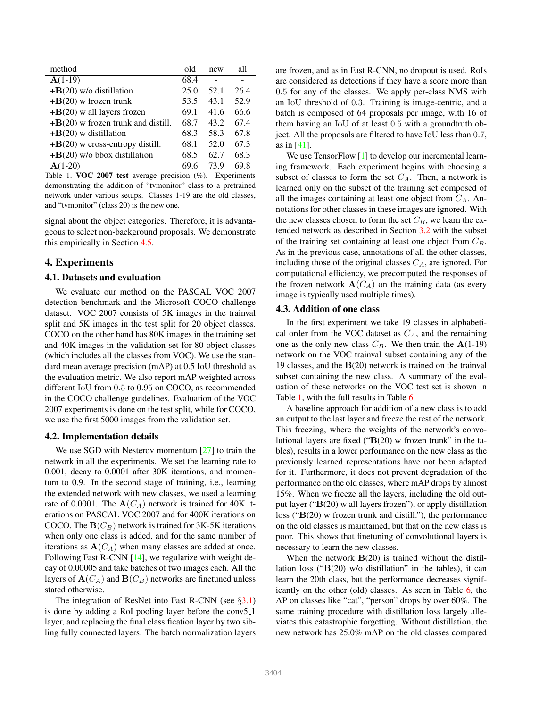| method                                  | old  | new  | all  |
|-----------------------------------------|------|------|------|
| $A(1-19)$                               | 68.4 |      |      |
| $+B(20)$ w/o distillation               | 25.0 | 52.1 | 26.4 |
| $+B(20)$ w frozen trunk                 | 53.5 | 43.1 | 52.9 |
| $+{\bf B}(20)$ w all layers frozen      | 69.1 | 41.6 | 66.6 |
| $+B(20)$ w frozen trunk and distill.    | 68.7 | 43.2 | 67.4 |
| $+B(20)$ w distillation                 | 68.3 | 58.3 | 67.8 |
| $+{\bf B}(20)$ w cross-entropy distill. | 68.1 | 52.0 | 67.3 |
| $+B(20)$ w/o bbox distillation          | 68.5 | 62.7 | 68.3 |
| $A(1-20)$                               | 69.6 | 73.9 | 69.8 |

<span id="page-4-2"></span>Table 1. VOC 2007 test average precision (%). Experiments demonstrating the addition of "tvmonitor" class to a pretrained network under various setups. Classes 1-19 are the old classes, and "tvmonitor" (class 20) is the new one.

signal about the object categories. Therefore, it is advantageous to select non-background proposals. We demonstrate this empirically in Section [4.5.](#page-6-0)

## <span id="page-4-0"></span>4. Experiments

#### 4.1. Datasets and evaluation

We evaluate our method on the PASCAL VOC 2007 detection benchmark and the Microsoft COCO challenge dataset. VOC 2007 consists of 5K images in the trainval split and 5K images in the test split for 20 object classes. COCO on the other hand has 80K images in the training set and 40K images in the validation set for 80 object classes (which includes all the classes from VOC). We use the standard mean average precision (mAP) at 0.5 IoU threshold as the evaluation metric. We also report mAP weighted across different IoU from 0.5 to 0.95 on COCO, as recommended in the COCO challenge guidelines. Evaluation of the VOC 2007 experiments is done on the test split, while for COCO, we use the first 5000 images from the validation set.

#### <span id="page-4-3"></span>4.2. Implementation details

We use SGD with Nesterov momentum [\[27\]](#page-8-36) to train the network in all the experiments. We set the learning rate to 0.001, decay to 0.0001 after 30K iterations, and momentum to 0.9. In the second stage of training, i.e., learning the extended network with new classes, we used a learning rate of 0.0001. The  $A(C_A)$  network is trained for 40K iterations on PASCAL VOC 2007 and for 400K iterations on COCO. The  $B(C_B)$  network is trained for 3K-5K iterations when only one class is added, and for the same number of iterations as  $\mathbf{A}(C_A)$  when many classes are added at once. Following Fast R-CNN [\[14\]](#page-8-10), we regularize with weight decay of 0.00005 and take batches of two images each. All the layers of  $\mathbf{A}(C_A)$  and  $\mathbf{B}(C_B)$  networks are finetuned unless stated otherwise.

The integration of ResNet into Fast R-CNN (see  $\S 3.1$ ) is done by adding a RoI pooling layer before the conv5 1 layer, and replacing the final classification layer by two sibling fully connected layers. The batch normalization layers are frozen, and as in Fast R-CNN, no dropout is used. RoIs are considered as detections if they have a score more than 0.5 for any of the classes. We apply per-class NMS with an IoU threshold of 0.3. Training is image-centric, and a batch is composed of 64 proposals per image, with 16 of them having an IoU of at least 0.5 with a groundtruth object. All the proposals are filtered to have IoU less than 0.7, as in [\[41\]](#page-9-2).

We use TensorFlow [\[1\]](#page-8-37) to develop our incremental learning framework. Each experiment begins with choosing a subset of classes to form the set  $C_A$ . Then, a network is learned only on the subset of the training set composed of all the images containing at least one object from  $C_A$ . Annotations for other classes in these images are ignored. With the new classes chosen to form the set  $C_B$ , we learn the extended network as described in Section [3.2](#page-3-0) with the subset of the training set containing at least one object from  $C_B$ . As in the previous case, annotations of all the other classes, including those of the original classes  $C_A$ , are ignored. For computational efficiency, we precomputed the responses of the frozen network  $\mathbf{A}(C_A)$  on the training data (as every image is typically used multiple times).

## <span id="page-4-1"></span>4.3. Addition of one class

In the first experiment we take 19 classes in alphabetical order from the VOC dataset as  $C_A$ , and the remaining one as the only new class  $C_B$ . We then train the  $A(1-19)$ network on the VOC trainval subset containing any of the 19 classes, and the  $B(20)$  network is trained on the trainval subset containing the new class. A summary of the evaluation of these networks on the VOC test set is shown in Table [1,](#page-4-2) with the full results in Table [6.](#page-7-0)

A baseline approach for addition of a new class is to add an output to the last layer and freeze the rest of the network. This freezing, where the weights of the network's convolutional layers are fixed ("B(20) w frozen trunk" in the tables), results in a lower performance on the new class as the previously learned representations have not been adapted for it. Furthermore, it does not prevent degradation of the performance on the old classes, where mAP drops by almost 15%. When we freeze all the layers, including the old output layer ("B(20) w all layers frozen"), or apply distillation loss ("B(20) w frozen trunk and distill."), the performance on the old classes is maintained, but that on the new class is poor. This shows that finetuning of convolutional layers is necessary to learn the new classes.

When the network  $B(20)$  is trained without the distillation loss (" $B(20)$  w/o distillation" in the tables), it can learn the 20th class, but the performance decreases significantly on the other (old) classes. As seen in Table [6,](#page-7-0) the AP on classes like "cat", "person" drops by over 60%. The same training procedure with distillation loss largely alleviates this catastrophic forgetting. Without distillation, the new network has 25.0% mAP on the old classes compared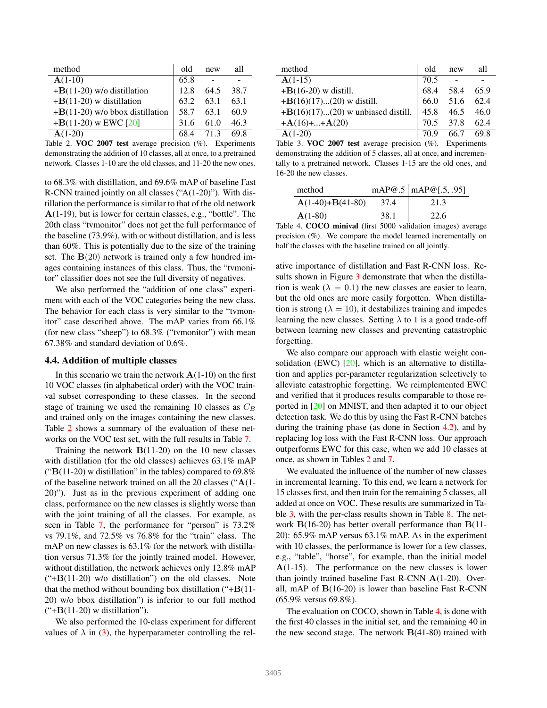| method                            | old  | new  | all  |
|-----------------------------------|------|------|------|
| $A(1-10)$                         | 65.8 |      |      |
| $+B(11-20)$ w/o distillation      | 12.8 | 64.5 | 38.7 |
| $+B(11-20)$ w distillation        | 63.2 | 63.1 | 63.1 |
| $+B(11-20)$ w/o bbox distillation | 58.7 | 63.1 | 60.9 |
| $+B(11-20)$ w EWC [20]            | 31.6 | 61.0 | 46.3 |
| $A(1-20)$                         | 68.4 | 71.3 | 69.8 |

<span id="page-5-1"></span>Table 2. VOC 2007 test average precision (%). Experiments demonstrating the addition of 10 classes, all at once, to a pretrained network. Classes 1-10 are the old classes, and 11-20 the new ones.

to 68.3% with distillation, and 69.6% mAP of baseline Fast R-CNN trained jointly on all classes ("A(1-20)"). With distillation the performance is similar to that of the old network A(1-19), but is lower for certain classes, e.g., "bottle". The 20th class "tvmonitor" does not get the full performance of the baseline (73.9%), with or without distillation, and is less than 60%. This is potentially due to the size of the training set. The  $B(20)$  network is trained only a few hundred images containing instances of this class. Thus, the "tvmonitor" classifier does not see the full diversity of negatives.

We also performed the "addition of one class" experiment with each of the VOC categories being the new class. The behavior for each class is very similar to the "tvmonitor" case described above. The mAP varies from 66.1% (for new class "sheep") to  $68.3\%$  ("tymonitor") with mean 67.38% and standard deviation of 0.6%.

#### <span id="page-5-0"></span>4.4. Addition of multiple classes

In this scenario we train the network  $A(1-10)$  on the first 10 VOC classes (in alphabetical order) with the VOC trainval subset corresponding to these classes. In the second stage of training we used the remaining 10 classes as  $C_B$ and trained only on the images containing the new classes. Table [2](#page-5-1) shows a summary of the evaluation of these networks on the VOC test set, with the full results in Table [7.](#page-7-1)

Training the network  $B(11-20)$  on the 10 new classes with distillation (for the old classes) achieves 63.1% mAP (" $B(11-20)$  w distillation" in the tables) compared to 69.8% of the baseline network trained on all the 20 classes ("A(1- 20)"). Just as in the previous experiment of adding one class, performance on the new classes is slightly worse than with the joint training of all the classes. For example, as seen in Table [7,](#page-7-1) the performance for "person" is 73.2% vs 79.1%, and 72.5% vs 76.8% for the "train" class. The mAP on new classes is 63.1% for the network with distillation versus 71.3% for the jointly trained model. However, without distillation, the network achieves only 12.8% mAP  $(*+B(11-20)$  w/o distillation") on the old classes. Note that the method without bounding box distillation ("+B(11- 20) w/o bbox distillation") is inferior to our full method  $(*+B(11-20)$  w distillation").

We also performed the 10-class experiment for different values of  $\lambda$  in [\(3\)](#page-3-4), the hyperparameter controlling the rel-

| method                               | old  | new       | all  |
|--------------------------------------|------|-----------|------|
| $A(1-15)$                            | 70.5 |           |      |
| $+B(16-20)$ w distill.               | 68.4 | 58.4      | 65.9 |
| $+B(16)(17)(20)$ w distill.          |      | 66.0 51.6 | 62.4 |
| $+B(16)(17)(20)$ w unbiased distill. | 45.8 | 46.5      | 46.0 |
| $+A(16)++A(20)$                      | 70.5 | 37.8      | 62.4 |
| $A(1-20)$                            | 70.9 | 66.7      | 69.8 |

<span id="page-5-2"></span>Table 3. VOC 2007 test average precision (%). Experiments demonstrating the addition of 5 classes, all at once, and incrementally to a pretrained network. Classes 1-15 are the old ones, and 16-20 the new classes.

| method             |      | $\vert$ mAP@.5   mAP@[.5, .95] |
|--------------------|------|--------------------------------|
| $A(1-40)+B(41-80)$ | 37.4 | 21.3                           |
| $A(1-80)$          | 38.1 | 22.6                           |

<span id="page-5-3"></span>Table 4. COCO minival (first 5000 validation images) average precision (%). We compare the model learned incrementally on half the classes with the baseline trained on all jointly.

ative importance of distillation and Fast R-CNN loss. Re-sults shown in Figure [3](#page-6-1) demonstrate that when the distillation is weak ( $\lambda = 0.1$ ) the new classes are easier to learn, but the old ones are more easily forgotten. When distillation is strong ( $\lambda = 10$ ), it destabilizes training and impedes learning the new classes. Setting  $\lambda$  to 1 is a good trade-off between learning new classes and preventing catastrophic forgetting.

We also compare our approach with elastic weight con-solidation (EWC) [\[20\]](#page-8-33), which is an alternative to distillation and applies per-parameter regularization selectively to alleviate catastrophic forgetting. We reimplemented EWC and verified that it produces results comparable to those reported in [\[20\]](#page-8-33) on MNIST, and then adapted it to our object detection task. We do this by using the Fast R-CNN batches during the training phase (as done in Section [4.2\)](#page-4-3), and by replacing log loss with the Fast R-CNN loss. Our approach outperforms EWC for this case, when we add 10 classes at once, as shown in Tables [2](#page-5-1) and [7.](#page-7-1)

We evaluated the influence of the number of new classes in incremental learning. To this end, we learn a network for 15 classes first, and then train for the remaining 5 classes, all added at once on VOC. These results are summarized in Ta-ble [3,](#page-5-2) with the per-class results shown in Table [8.](#page-7-2) The network B(16-20) has better overall performance than B(11- 20): 65.9% mAP versus 63.1% mAP. As in the experiment with 10 classes, the performance is lower for a few classes, e.g., "table", "horse", for example, than the initial model A(1-15). The performance on the new classes is lower than jointly trained baseline Fast R-CNN  $A(1-20)$ . Overall, mAP of  $B(16-20)$  is lower than baseline Fast R-CNN (65.9% versus 69.8%).

The evaluation on COCO, shown in Table [4,](#page-5-3) is done with the first 40 classes in the initial set, and the remaining 40 in the new second stage. The network  $B(41-80)$  trained with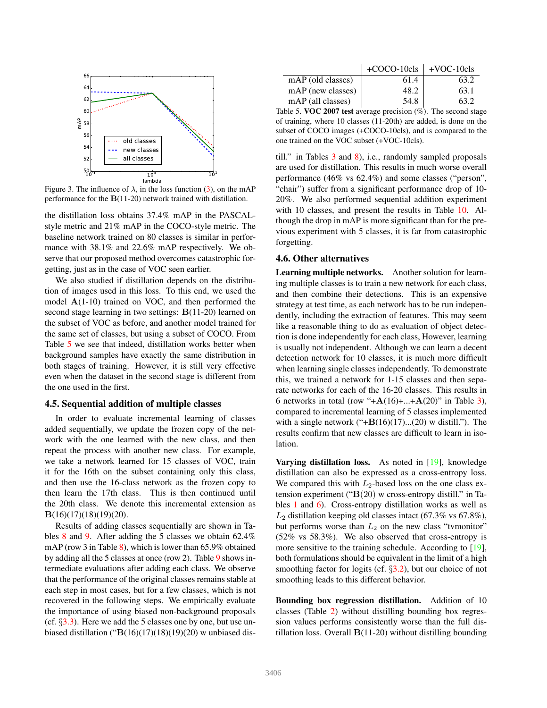

<span id="page-6-1"></span>Figure 3. The influence of  $\lambda$ , in the loss function [\(3\)](#page-3-4), on the mAP performance for the B(11-20) network trained with distillation.

the distillation loss obtains 37.4% mAP in the PASCALstyle metric and 21% mAP in the COCO-style metric. The baseline network trained on 80 classes is similar in performance with 38.1% and 22.6% mAP respectively. We observe that our proposed method overcomes catastrophic forgetting, just as in the case of VOC seen earlier.

We also studied if distillation depends on the distribution of images used in this loss. To this end, we used the model A(1-10) trained on VOC, and then performed the second stage learning in two settings: B(11-20) learned on the subset of VOC as before, and another model trained for the same set of classes, but using a subset of COCO. From Table [5](#page-6-2) we see that indeed, distillation works better when background samples have exactly the same distribution in both stages of training. However, it is still very effective even when the dataset in the second stage is different from the one used in the first.

#### <span id="page-6-0"></span>4.5. Sequential addition of multiple classes

In order to evaluate incremental learning of classes added sequentially, we update the frozen copy of the network with the one learned with the new class, and then repeat the process with another new class. For example, we take a network learned for 15 classes of VOC, train it for the 16th on the subset containing only this class, and then use the 16-class network as the frozen copy to then learn the 17th class. This is then continued until the 20th class. We denote this incremental extension as B(16)(17)(18)(19)(20).

Results of adding classes sequentially are shown in Tables [8](#page-7-2) and [9.](#page-7-3) After adding the 5 classes we obtain 62.4% mAP (row 3 in Table [8\)](#page-7-2), which is lower than 65.9% obtained by adding all the 5 classes at once (row 2). Table [9](#page-7-3) shows intermediate evaluations after adding each class. We observe that the performance of the original classes remains stable at each step in most cases, but for a few classes, which is not recovered in the following steps. We empirically evaluate the importance of using biased non-background proposals (cf.  $\S$ [3.3\)](#page-3-1). Here we add the 5 classes one by one, but use unbiased distillation (" $B(16)(17)(18)(19)(20)$  w unbiased dis-

|                   | $+COCO-10cls$ +VOC-10cls |      |
|-------------------|--------------------------|------|
| mAP (old classes) | 61.4                     | 63.2 |
| mAP (new classes) | 48.2                     | 63.1 |
| mAP (all classes) | 54.8                     | 63.2 |

<span id="page-6-2"></span>Table 5. VOC 2007 test average precision  $(\%)$ . The second stage of training, where 10 classes (11-20th) are added, is done on the subset of COCO images (+COCO-10cls), and is compared to the one trained on the VOC subset (+VOC-10cls).

till." in Tables [3](#page-5-2) and [8\)](#page-7-2), i.e., randomly sampled proposals are used for distillation. This results in much worse overall performance (46% vs 62.4%) and some classes ("person", "chair") suffer from a significant performance drop of 10- 20%. We also performed sequential addition experiment with 10 classes, and present the results in Table [10.](#page-7-4) Although the drop in mAP is more significant than for the previous experiment with 5 classes, it is far from catastrophic forgetting.

#### 4.6. Other alternatives

Learning multiple networks. Another solution for learning multiple classes is to train a new network for each class, and then combine their detections. This is an expensive strategy at test time, as each network has to be run independently, including the extraction of features. This may seem like a reasonable thing to do as evaluation of object detection is done independently for each class, However, learning is usually not independent. Although we can learn a decent detection network for 10 classes, it is much more difficult when learning single classes independently. To demonstrate this, we trained a network for 1-15 classes and then separate networks for each of the 16-20 classes. This results in 6 networks in total (row " $+A(16)+...+A(20)$ " in Table [3\)](#page-5-2), compared to incremental learning of 5 classes implemented with a single network  $("+B(16)(17)...(20)$  w distill."). The results confirm that new classes are difficult to learn in isolation.

Varying distillation loss. As noted in [\[19\]](#page-8-7), knowledge distillation can also be expressed as a cross-entropy loss. We compared this with  $L_2$ -based loss on the one class extension experiment (" $B(20)$  w cross-entropy distill." in Tables [1](#page-4-2) and [6\)](#page-7-0). Cross-entropy distillation works as well as  $L_2$  distillation keeping old classes intact (67.3% vs 67.8%), but performs worse than  $L_2$  on the new class "tymonitor" (52% vs 58.3%). We also observed that cross-entropy is more sensitive to the training schedule. According to [\[19\]](#page-8-7), both formulations should be equivalent in the limit of a high smoothing factor for logits (cf.  $\S3.2$ ), but our choice of not smoothing leads to this different behavior.

Bounding box regression distillation. Addition of 10 classes (Table [2\)](#page-5-1) without distilling bounding box regression values performs consistently worse than the full distillation loss. Overall  $B(11-20)$  without distilling bounding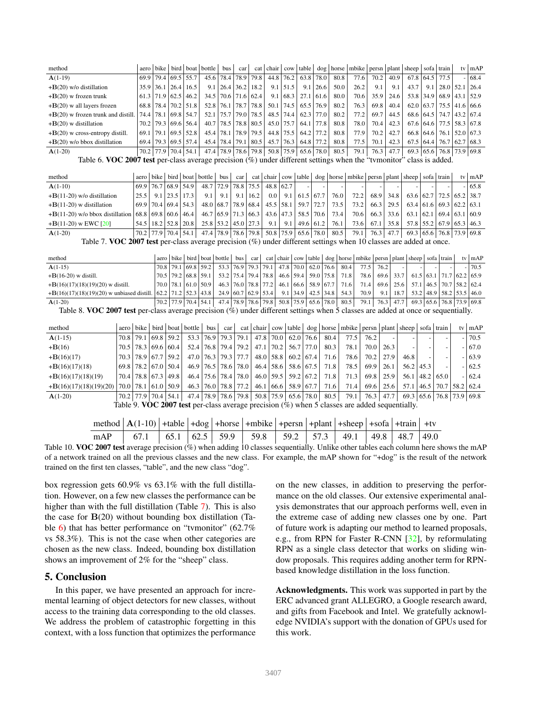| method                                     |               |                             | aero   bike   bird   boat   bottle | bus                        |        |                                        |               |                                          |      |                                                                                                                                                                                                                                | car   cat   chair   cow   table   dog   horse   mbike   persn   plant   sheep   sofa   train |      |      |      |                  |                            |                  | ty $ mAP$                  |
|--------------------------------------------|---------------|-----------------------------|------------------------------------|----------------------------|--------|----------------------------------------|---------------|------------------------------------------|------|--------------------------------------------------------------------------------------------------------------------------------------------------------------------------------------------------------------------------------|----------------------------------------------------------------------------------------------|------|------|------|------------------|----------------------------|------------------|----------------------------|
| $A(1-19)$                                  |               | 69.9 79.4 69.5 55.7         |                                    | 45.6 78.4 78.9 79.8        |        |                                        |               | $44.8$   76.2   63.8   78.0              |      | 80.8                                                                                                                                                                                                                           | 77.6                                                                                         | 70.2 | 40.9 |      |                  | $67.8$ 64.5 77.5           |                  | $-168.4$                   |
| $+B(20)$ w/o distillation                  | $35.9$   36.1 | $26.4$   16.5               |                                    | $9.1$   26.4   36.2   18.2 |        |                                        | $9.1$   51.5  | 9.1                                      | 26.6 | 50.0                                                                                                                                                                                                                           | 26.2                                                                                         | 9.1  | 9.1  | 43.7 | 9.1              |                            | $28.0$ 52.1 26.4 |                            |
| $+B(20)$ w frozen trunk                    |               | $61.3$   71.9   62.5   46.2 |                                    | 34.5   70.6   71.6   62.4  |        |                                        |               | $9.1 \mid 68.3 \mid 27.1 \mid 61.6 \mid$ |      | 80.0                                                                                                                                                                                                                           | 70.6                                                                                         | 35.9 | 24.6 |      |                  | 53.8 34.9 68.9 43.1 52.9   |                  |                            |
| $+B(20)$ w all layers frozen               |               | 68.8 78.4 70.2 51.8         |                                    | 52.8 76.1 78.7 78.8        |        |                                        |               | $50.1$   74.5   65.5   76.9              |      | 80.2                                                                                                                                                                                                                           | 76.3                                                                                         | 69.8 | 40.4 |      |                  | $62.0$ 63.7 75.5 41.6 66.6 |                  |                            |
| $+{\bf B}(20)$ w frozen trunk and distill. |               | 74.4 78.1 69.8 54.7         |                                    | 52.1 75.7 79.0 78.5        |        |                                        |               | 48.5   74.4   62.3   77.0                |      | 80.2                                                                                                                                                                                                                           | 77.2                                                                                         | 69.7 | 44.5 |      |                  | 68.6 64.5 74.7 43.2 67.4   |                  |                            |
| $+B(20)$ w distillation                    |               | 70.2   79.3   69.6   56.4   |                                    | 40.7   78.5   78.8   80.5  |        |                                        |               | 45.0 75.7 64.1 77.8                      |      | 80.8                                                                                                                                                                                                                           | 78.0                                                                                         | 70.4 | 42.3 |      |                  | $67.6$ 64.6 77.5 58.3 67.8 |                  |                            |
| $+B(20)$ w cross-entropy distill.          |               | $69.1$   79.1   69.5   52.8 | 45.4                               | 78.1   78.9   79.5         |        |                                        | 44.8 75.5     | 64.2 77.2                                |      | 80.8                                                                                                                                                                                                                           | 77.9                                                                                         | 70.2 | 42.7 |      | $66.8$ 64.6 76.1 |                            | $152.0$ 167.3    |                            |
| $+B(20)$ w/o bbox distillation             |               | 69.4   79.3   69.5   57.4   | 45.4                               | 78.4   79.1   80.5         |        |                                        | $45.7$   76.3 | 64.8 77.2                                |      | 80.8                                                                                                                                                                                                                           | 77.5                                                                                         | 70.1 | 42.3 |      |                  | $67.5$ 64.4 76.7 62.7 68.3 |                  |                            |
| $A(1-20)$                                  | 70.2 77.9     | $70.4$ 54.1                 | 47.4                               | 78.9   78.6   79.8         |        |                                        | $50.8$   75.9 | $65.6$ 78.0                              |      | 80.5                                                                                                                                                                                                                           | 79.1                                                                                         | 76.3 | 47.7 |      |                  |                            |                  | $69.3$ 65.6 76.8 73.9 69.8 |
| $T1 + T2$ $T1 + T2$ $T3 + T4$              |               |                             |                                    |                            | $\sim$ | $\mathbf{1}$ $\mathbf{1}$ $\mathbf{0}$ |               |                                          |      | and the contract of the contract of the contract of the contract of the contract of the contract of the contract of the contract of the contract of the contract of the contract of the contract of the contract of the contra |                                                                                              |      |      |      |                  |                            |                  |                            |

<span id="page-7-0"></span>Table 6. VOC 2007 test per-class average precision  $(\%)$  under different settings when the "tymonitor" class is added.

| method                                                                                          |                             |                            |                             |                           |                         |                                         |     |                             |      | $\vert$ aero $\vert$ bike $\vert$ bird $\vert$ boat $\vert$ bottle $\vert$ bus $\vert$ car $\vert$ cat $\vert$ chair $\vert$ cow $\vert$ table $\vert$ dog $\vert$ horse $\vert$ mbike $\vert$ persn $\vert$ plant $\vert$ sheep $\vert$ sofa $\vert$ train $\vert$ |      |               |      |                            | ty $mAP$ |
|-------------------------------------------------------------------------------------------------|-----------------------------|----------------------------|-----------------------------|---------------------------|-------------------------|-----------------------------------------|-----|-----------------------------|------|---------------------------------------------------------------------------------------------------------------------------------------------------------------------------------------------------------------------------------------------------------------------|------|---------------|------|----------------------------|----------|
| $A(1-10)$                                                                                       | $69.9$   76.7   68.9   54.9 |                            |                             | 48.7   72.9   78.8   75.5 |                         | 48.8 62.7                               |     |                             |      |                                                                                                                                                                                                                                                                     |      |               |      |                            | $-165.8$ |
| $+B(11-20)$ w/o distillation                                                                    |                             | $25.5$   9.1   23.5   17.3 | 9.1                         | 9.1                       | $9.1 \,   \, 16.2 \,  $ | 0.0 <sub>1</sub>                        | 9.1 | $61.5$ 67.7                 | 76.0 | 72.2                                                                                                                                                                                                                                                                | 68.9 | 34.8          |      | 63.6 62.7 72.5 65.2 38.7   |          |
| $+B(11-20)$ w distillation                                                                      | $69.9$ 70.4 69.4 54.3       |                            |                             |                           |                         | 48.0 68.7 78.9 68.4 45.5 58.1           |     | 59.7 72.7                   | 73.5 | 73.2                                                                                                                                                                                                                                                                | 66.3 | 29.5          |      | $63.4$ 61.6 69.3 62.2 63.1 |          |
| $+B(11-20)$ w/o bbox distillation                                                               |                             | $68.8$ 69.8 60.6 46.4      |                             |                           |                         | 46.7 65.9 71.3 66.3 43.6 47.3 58.5 70.6 |     |                             | 73.4 | 70.6                                                                                                                                                                                                                                                                |      | $66.3$   33.6 | 63.1 | 162.169.463.160.9          |          |
| $+B(11-20)$ w EWC [20]                                                                          |                             | 54.5   18.2   52.8   20.8  | $25.8$   53.2   45.0   27.3 |                           |                         | 9.1                                     | 9.1 | $49.6 \mid 61.2 \mid$       | 76.1 | 73.6                                                                                                                                                                                                                                                                | 67.1 | 35.8          |      | 57.8 55.2 67.9 65.3 46.3   |          |
| $A(1-20)$                                                                                       | $70.2$   77.9   70.4   54.1 |                            | 47.4 78.9 78.6 79.8         |                           |                         |                                         |     | $50.8$   75.9   65.6   78.0 | 80.5 | 79.1                                                                                                                                                                                                                                                                |      | 76.3 47.7     |      | 69.3 65.6 76.8 73.9 69.8   |          |
| $T11.7 \text{ VOC}$ $A0.07 + 1$ $A = 1$ $A = 1$ $B = 1$ $C = 1$ $C = 1$ $A = 1$ $A = 1$ $A = 1$ |                             |                            |                             |                           |                         |                                         |     |                             |      |                                                                                                                                                                                                                                                                     |      |               |      |                            |          |

<span id="page-7-1"></span>Table 7. VOC 2007 test per-class average precision  $(\%)$  under different settings when 10 classes are added at once.

| method                                       |                             |  |                                                                                                                                                                           |  |  |             |                                                                  | $\vert$ aero $\vert$ bike $\vert$ bird $\vert$ boat $\vert$ bottle $\vert$ bus $\vert$ car $\vert$ cat $\vert$ chair $\vert$ cow $\vert$ table $\vert$ dog $\vert$ horse $\vert$ mbike $\vert$ pers $\vert$ plant $\vert$ sheep $\vert$ sofa $\vert$ train $\vert$ |      |             |                                                  |  | ty $mAP$ |
|----------------------------------------------|-----------------------------|--|---------------------------------------------------------------------------------------------------------------------------------------------------------------------------|--|--|-------------|------------------------------------------------------------------|--------------------------------------------------------------------------------------------------------------------------------------------------------------------------------------------------------------------------------------------------------------------|------|-------------|--------------------------------------------------|--|----------|
| $A(1-15)$                                    |                             |  | 70.8 79.1 69.8 59.2 53.3 76.9 79.3 79.1 47.8 70.0                                                                                                                         |  |  | $62.0$ 76.6 | 80.4                                                             | 77.5                                                                                                                                                                                                                                                               | 76.2 |             |                                                  |  | 70.5     |
| $+B(16-20)$ w distill.                       |                             |  | $\left[70.5\right]$ 79.2 $\left[68.8\right]$ 59.1 $\left[53.2\right]$ 75.4 $\left[79.4\right]$ 78.8 $\left[46.6\right]$ 59.4 $\left[59.0\right]$ 75.8 $\left[71.8\right]$ |  |  |             |                                                                  | 78.6                                                                                                                                                                                                                                                               |      |             | $69.6$   33.7   61.5   63.1   71.7   62.2   65.9 |  |          |
| $+B(16)(17)(18)(19)(20)$ w distill.          | $70.0$   78.1   61.0   50.9 |  |                                                                                                                                                                           |  |  |             | $46.3   76.0   78.8   77.2   46.1   66.6   58.9   67.7   71.6  $ | 71.4                                                                                                                                                                                                                                                               |      | $69.6$ 25.6 | $57.1$   46.5   70.7   58.2   62.4               |  |          |
| $+B(16)(17)(18)(19)(20)$ w unbiased distill. | 62.2 71.2 52.3 43.8         |  | 24.9 60.7 62.9 53.4                                                                                                                                                       |  |  |             | $9.1 \mid 34.9 \mid 42.5 \mid 34.8 \mid 54.3 \mid$               | 70.9                                                                                                                                                                                                                                                               | 9.1  | 18.7        | 53.2   48.9   58.2   53.5   46.0                 |  |          |
| $A(1-20)$                                    | $70.2$   77.9   70.4   54.1 |  | 47.4 78.9 78.6 79.8 50.8 75.9 65.6 78.0 80.5                                                                                                                              |  |  |             |                                                                  | 79.1                                                                                                                                                                                                                                                               | 76.3 | 47.7        | 69.3 65.6 76.8 73.9 69.8                         |  |          |

<span id="page-7-2"></span>Table 8. VOC 2007 test per-class average precision (%) under different settings when 5 classes are added at once or sequentially.

| method                   | aero l |                                                     |           |                                                                                                                                                                                                                                |  |                                                       |                             |                                                              | bike   bird   boat   bottle   bus   car   cat   chair   cow   table   dog   horse   mbike   persn   plant   sheep   sofa   train |      |      |      |               |                              | ty $mAP$                   |
|--------------------------|--------|-----------------------------------------------------|-----------|--------------------------------------------------------------------------------------------------------------------------------------------------------------------------------------------------------------------------------|--|-------------------------------------------------------|-----------------------------|--------------------------------------------------------------|----------------------------------------------------------------------------------------------------------------------------------|------|------|------|---------------|------------------------------|----------------------------|
| $A(1-15)$                |        | 70.8 79.1                                           | 69.8 59.2 | 53.3 76.9 79.3 79.1                                                                                                                                                                                                            |  |                                                       | 47.8 70.0 62.0 76.6         | 80.4                                                         | 77.5                                                                                                                             | 76.2 |      |      |               |                              | $-170.5$                   |
| $+{\bf B}(16)$           |        | 70.5 78.3 69.6 60.4                                 |           |                                                                                                                                                                                                                                |  | 52.4   76.8   79.4   79.2   47.1   70.2   56.7   77.0 |                             | 80.3                                                         | 78.1                                                                                                                             | 70.0 | 26.3 |      |               |                              | $-167.0$                   |
| $+B(16)(17)$             |        | 70.3 78.9 67.7                                      | 59.2      |                                                                                                                                                                                                                                |  | 47.0   76.3   79.3   77.7   48.0   58.8   60.2   67.4 |                             | 71.6                                                         | 78.6                                                                                                                             | 70.2 | 27.9 | 46.8 |               |                              | $-163.9$                   |
| $+B(16)(17)(18)$         |        | $69.8$   78.2   67.0   50.4                         |           |                                                                                                                                                                                                                                |  | 46.9   76.5   78.6   78.0   46.4   58.6   58.6   67.5 |                             | 71.8                                                         | 78.5                                                                                                                             | 69.9 | 26.1 |      | $56.2$   45.3 |                              | $-162.5$                   |
| $+B(16)(17)(18)(19)$     |        | 70.4 78.8 67.3 49.8                                 |           |                                                                                                                                                                                                                                |  |                                                       |                             | 46.4   75.6   78.4   78.0   46.0   59.5   59.2   67.2   71.8 | 71.3                                                                                                                             | 69.8 | 25.9 | 56.1 | 48.2          | 65.0                         | $-162.4$                   |
| $+B(16)(17)(18)(19)(20)$ |        | $\vert 70.0 \vert 78.1 \vert 61.0 \vert 50.9 \vert$ |           |                                                                                                                                                                                                                                |  |                                                       |                             | 46.3   76.0   78.8   77.2   46.1   66.6   58.9   67.7   71.6 | 71.4                                                                                                                             | 69.6 | 25.6 | 57.1 |               | $146.5$   70.7   58.2   62.4 |                            |
| $A(1-20)$                |        | 70.2 77.9 70.4                                      | 54.1      | 47.4 78.9 78.6 79.8 50.8 75.9 65.6 78.0                                                                                                                                                                                        |  |                                                       |                             | 80.5                                                         | 79.1                                                                                                                             | 76.3 | 47.7 |      |               |                              | $69.3$ 65.6 76.8 73.9 69.8 |
|                          |        |                                                     |           | $T(1)$ $(1)$ $(1)$ $(1)$ $(1)$ $(1)$ $(1)$ $(1)$ $(1)$ $(1)$ $(1)$ $(1)$ $(1)$ $(1)$ $(1)$ $(1)$ $(1)$ $(1)$ $(1)$ $(1)$ $(1)$ $(1)$ $(1)$ $(1)$ $(1)$ $(1)$ $(1)$ $(1)$ $(1)$ $(1)$ $(1)$ $(1)$ $(1)$ $(1)$ $(1)$ $(1)$ $(1)$ |  |                                                       | $\sim$ $\sim$ $\sim$ $\sim$ |                                                              |                                                                                                                                  |      |      |      |               |                              |                            |

<span id="page-7-3"></span>Table 9. VOC 2007 test per-class average precision  $(\%)$  when 5 classes are added sequentially.

<span id="page-7-4"></span>

| method $ \mathbf{A}(1-10) $ + table $ \mathbf{+}$ dog $ \mathbf{+}$ horse $ \mathbf{+}$ mbike $ \mathbf{+}$ persn $ \mathbf{+}$ plant $ \mathbf{+}$ sheep $ \mathbf{+}$ sofa $ \mathbf{+}$ train $ \mathbf{+}$ tv |  |  |  |  |  |
|-------------------------------------------------------------------------------------------------------------------------------------------------------------------------------------------------------------------|--|--|--|--|--|
| mAP   67.1   65.1   62.5   59.9   59.8   59.2   57.3   49.1   49.8   48.7   49.0                                                                                                                                  |  |  |  |  |  |

Table 10. VOC 2007 test average precision  $\langle \phi \rangle$  when adding 10 classes sequentially. Unlike other tables each column here shows the mAP of a network trained on all the previous classes and the new class. For example, the mAP shown for "+dog" is the result of the network trained on the first ten classes, "table", and the new class "dog".

box regression gets 60.9% vs 63.1% with the full distillation. However, on a few new classes the performance can be higher than with the full distillation (Table [7\)](#page-7-1). This is also the case for  $B(20)$  without bounding box distillation (Ta-ble [6\)](#page-7-0) that has better performance on "tymonitor" (62.7%) vs 58.3%). This is not the case when other categories are chosen as the new class. Indeed, bounding box distillation shows an improvement of 2% for the "sheep" class.

# 5. Conclusion

In this paper, we have presented an approach for incremental learning of object detectors for new classes, without access to the training data corresponding to the old classes. We address the problem of catastrophic forgetting in this context, with a loss function that optimizes the performance

on the new classes, in addition to preserving the performance on the old classes. Our extensive experimental analysis demonstrates that our approach performs well, even in the extreme case of adding new classes one by one. Part of future work is adapting our method to learned proposals, e.g., from RPN for Faster R-CNN [\[32\]](#page-8-1), by reformulating RPN as a single class detector that works on sliding window proposals. This requires adding another term for RPNbased knowledge distillation in the loss function.

Acknowledgments. This work was supported in part by the ERC advanced grant ALLEGRO, a Google research award, and gifts from Facebook and Intel. We gratefully acknowledge NVIDIA's support with the donation of GPUs used for this work.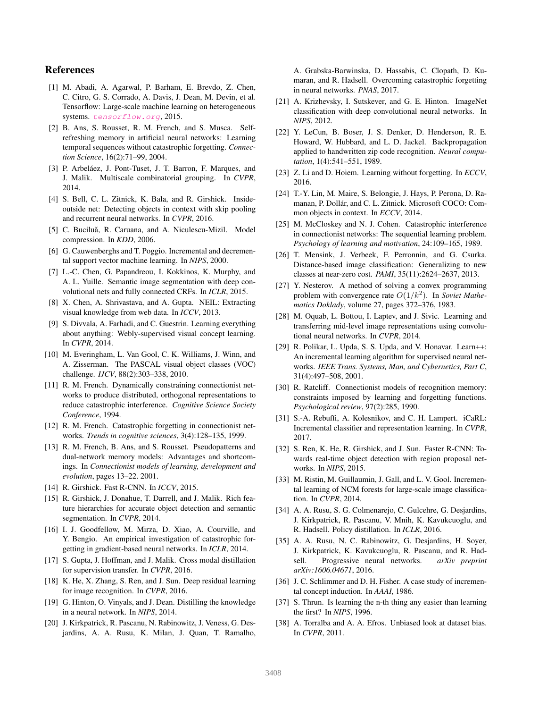## References

- <span id="page-8-37"></span>[1] M. Abadi, A. Agarwal, P. Barham, E. Brevdo, Z. Chen, C. Citro, G. S. Corrado, A. Davis, J. Dean, M. Devin, et al. Tensorflow: Large-scale machine learning on heterogeneous systems. <tensorflow.org>, 2015.
- <span id="page-8-29"></span>[2] B. Ans, S. Rousset, R. M. French, and S. Musca. Selfrefreshing memory in artificial neural networks: Learning temporal sequences without catastrophic forgetting. *Connection Science*, 16(2):71–99, 2004.
- <span id="page-8-34"></span>[3] P. Arbeláez, J. Pont-Tuset, J. T. Barron, F. Marques, and J. Malik. Multiscale combinatorial grouping. In *CVPR*, 2014.
- <span id="page-8-0"></span>[4] S. Bell, C. L. Zitnick, K. Bala, and R. Girshick. Insideoutside net: Detecting objects in context with skip pooling and recurrent neural networks. In *CVPR*, 2016.
- <span id="page-8-22"></span>[5] C. Buciluă, R. Caruana, and A. Niculescu-Mizil. Model compression. In *KDD*, 2006.
- <span id="page-8-11"></span>[6] G. Cauwenberghs and T. Poggio. Incremental and decremental support vector machine learning. In *NIPS*, 2000.
- <span id="page-8-21"></span>[7] L.-C. Chen, G. Papandreou, I. Kokkinos, K. Murphy, and A. L. Yuille. Semantic image segmentation with deep convolutional nets and fully connected CRFs. In *ICLR*, 2015.
- <span id="page-8-15"></span>[8] X. Chen, A. Shrivastava, and A. Gupta. NEIL: Extracting visual knowledge from web data. In *ICCV*, 2013.
- <span id="page-8-16"></span>[9] S. Divvala, A. Farhadi, and C. Guestrin. Learning everything about anything: Webly-supervised visual concept learning. In *CVPR*, 2014.
- <span id="page-8-2"></span>[10] M. Everingham, L. Van Gool, C. K. Williams, J. Winn, and A. Zisserman. The PASCAL visual object classes (VOC) challenge. *IJCV*, 88(2):303–338, 2010.
- <span id="page-8-27"></span>[11] R. M. French. Dynamically constraining connectionist networks to produce distributed, orthogonal representations to reduce catastrophic interference. *Cognitive Science Society Conference*, 1994.
- <span id="page-8-25"></span>[12] R. M. French. Catastrophic forgetting in connectionist networks. *Trends in cognitive sciences*, 3(4):128–135, 1999.
- <span id="page-8-30"></span>[13] R. M. French, B. Ans, and S. Rousset. Pseudopatterns and dual-network memory models: Advantages and shortcomings. In *Connectionist models of learning, development and evolution*, pages 13–22. 2001.
- <span id="page-8-10"></span>[14] R. Girshick. Fast R-CNN. In *ICCV*, 2015.
- <span id="page-8-4"></span>[15] R. Girshick, J. Donahue, T. Darrell, and J. Malik. Rich feature hierarchies for accurate object detection and semantic segmentation. In *CVPR*, 2014.
- <span id="page-8-26"></span>[16] I. J. Goodfellow, M. Mirza, D. Xiao, A. Courville, and Y. Bengio. An empirical investigation of catastrophic forgetting in gradient-based neural networks. In *ICLR*, 2014.
- <span id="page-8-23"></span>[17] S. Gupta, J. Hoffman, and J. Malik. Cross modal distillation for supervision transfer. In *CVPR*, 2016.
- <span id="page-8-35"></span>[18] K. He, X. Zhang, S. Ren, and J. Sun. Deep residual learning for image recognition. In *CVPR*, 2016.
- <span id="page-8-7"></span>[19] G. Hinton, O. Vinyals, and J. Dean. Distilling the knowledge in a neural network. In *NIPS*, 2014.
- <span id="page-8-33"></span>[20] J. Kirkpatrick, R. Pascanu, N. Rabinowitz, J. Veness, G. Desjardins, A. A. Rusu, K. Milan, J. Quan, T. Ramalho,

A. Grabska-Barwinska, D. Hassabis, C. Clopath, D. Kumaran, and R. Hadsell. Overcoming catastrophic forgetting in neural networks. *PNAS*, 2017.

- <span id="page-8-19"></span>[21] A. Krizhevsky, I. Sutskever, and G. E. Hinton. ImageNet classification with deep convolutional neural networks. In *NIPS*, 2012.
- <span id="page-8-28"></span>[22] Y. LeCun, B. Boser, J. S. Denker, D. Henderson, R. E. Howard, W. Hubbard, and L. D. Jackel. Backpropagation applied to handwritten zip code recognition. *Neural computation*, 1(4):541–551, 1989.
- <span id="page-8-8"></span>[23] Z. Li and D. Hoiem. Learning without forgetting. In *ECCV*, 2016.
- <span id="page-8-3"></span>[24] T.-Y. Lin, M. Maire, S. Belongie, J. Hays, P. Perona, D. Ramanan, P. Dollár, and C. L. Zitnick. Microsoft COCO: Common objects in context. In *ECCV*, 2014.
- <span id="page-8-5"></span>[25] M. McCloskey and N. J. Cohen. Catastrophic interference in connectionist networks: The sequential learning problem. *Psychology of learning and motivation*, 24:109–165, 1989.
- <span id="page-8-17"></span>[26] T. Mensink, J. Verbeek, F. Perronnin, and G. Csurka. Distance-based image classification: Generalizing to new classes at near-zero cost. *PAMI*, 35(11):2624–2637, 2013.
- <span id="page-8-36"></span>[27] Y. Nesterov. A method of solving a convex programming problem with convergence rate  $O(1/k^2)$ . In *Soviet Mathematics Doklady*, volume 27, pages 372–376, 1983.
- <span id="page-8-20"></span>[28] M. Oquab, L. Bottou, I. Laptev, and J. Sivic. Learning and transferring mid-level image representations using convolutional neural networks. In *CVPR*, 2014.
- <span id="page-8-12"></span>[29] R. Polikar, L. Upda, S. S. Upda, and V. Honavar. Learn++: An incremental learning algorithm for supervised neural networks. *IEEE Trans. Systems, Man, and Cybernetics, Part C*, 31(4):497–508, 2001.
- <span id="page-8-6"></span>[30] R. Ratcliff. Connectionist models of recognition memory: constraints imposed by learning and forgetting functions. *Psychological review*, 97(2):285, 1990.
- <span id="page-8-9"></span>[31] S.-A. Rebuffi, A. Kolesnikov, and C. H. Lampert. iCaRL: Incremental classifier and representation learning. In *CVPR*, 2017.
- <span id="page-8-1"></span>[32] S. Ren, K. He, R. Girshick, and J. Sun. Faster R-CNN: Towards real-time object detection with region proposal networks. In *NIPS*, 2015.
- <span id="page-8-18"></span>[33] M. Ristin, M. Guillaumin, J. Gall, and L. V. Gool. Incremental learning of NCM forests for large-scale image classification. In *CVPR*, 2014.
- <span id="page-8-24"></span>[34] A. A. Rusu, S. G. Colmenarejo, C. Gulcehre, G. Desjardins, J. Kirkpatrick, R. Pascanu, V. Mnih, K. Kavukcuoglu, and R. Hadsell. Policy distillation. In *ICLR*, 2016.
- <span id="page-8-32"></span>[35] A. A. Rusu, N. C. Rabinowitz, G. Desjardins, H. Soyer, J. Kirkpatrick, K. Kavukcuoglu, R. Pascanu, and R. Hadsell. Progressive neural networks. *arXiv preprint arXiv:1606.04671*, 2016.
- <span id="page-8-13"></span>[36] J. C. Schlimmer and D. H. Fisher. A case study of incremental concept induction. In *AAAI*, 1986.
- <span id="page-8-14"></span>[37] S. Thrun. Is learning the n-th thing any easier than learning the first? In *NIPS*, 1996.
- <span id="page-8-31"></span>[38] A. Torralba and A. A. Efros. Unbiased look at dataset bias. In *CVPR*, 2011.